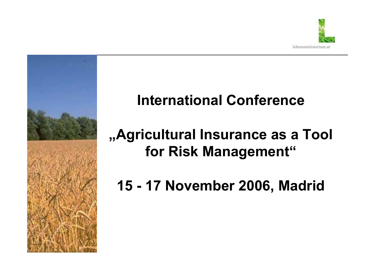

# **International Conference**

# **"Agricultural Insurance as a Tool for Risk Management"**

**15 - 17 November 2006, Madrid**

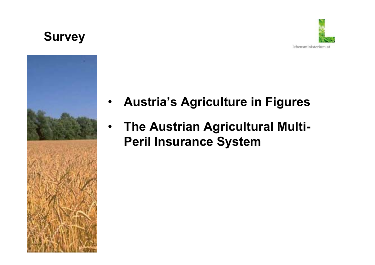**Survey**





- **Austria's Agriculture in Figures**
- **The Austrian Agricultural Multi-Peril Insurance System**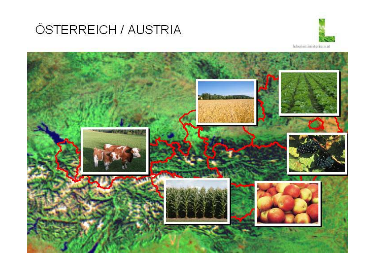## ÖSTERREICH / AUSTRIA



lebensministerium at

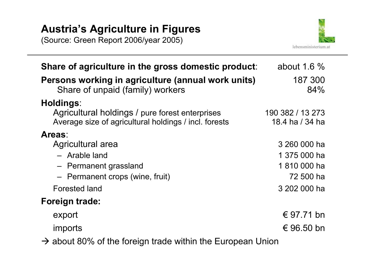## **Austria's Agriculture in Figures**

(Source: Green Report 2006/year 2005)



| Share of agriculture in the gross domestic product:                                                      | about 1.6 $%$                       |
|----------------------------------------------------------------------------------------------------------|-------------------------------------|
| Persons working in agriculture (annual work units)<br>Share of unpaid (family) workers                   | 187 300<br>84%                      |
| Holdings:                                                                                                |                                     |
| Agricultural holdings / pure forest enterprises<br>Average size of agricultural holdings / incl. forests | 190 382 / 13 273<br>18.4 ha / 34 ha |
| Areas:                                                                                                   |                                     |
| Agricultural area                                                                                        | 3 260 000 ha                        |
| - Arable land                                                                                            | 1 375 000 ha                        |
| - Permanent grassland                                                                                    | 1810 000 ha                         |
| - Permanent crops (wine, fruit)                                                                          | 72 500 ha                           |
| <b>Forested land</b>                                                                                     | 3 202 000 ha                        |
| <b>Foreign trade:</b>                                                                                    |                                     |
| export                                                                                                   | € 97.71 bn                          |
| imports                                                                                                  | € 96.50 bn                          |
| $\rightarrow$ about 80% of the foreign trade within the European Union                                   |                                     |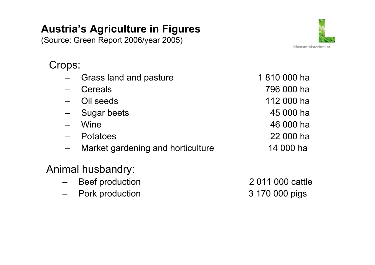## **Austria's Agriculture in Figures**

(Source: Green Report 2006/year 2005)



Crops:

- Grass land and pasture 1810 000 ha
- 
- 
- Sugar beets 45 000 ha
- 
- 
- Market gardening and horticulture 14 000 ha

## Animal husbandry:

- Beef production 2 011 000 cattle
- Pork production 3 170 000 pigs

 Cereals 796 000 ha Oil seeds 112 000 ha Wine 46 000 haPotatoes 22 000 ha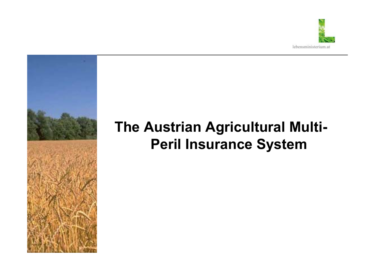

# **The Austrian Agricultural Multi-Peril Insurance System**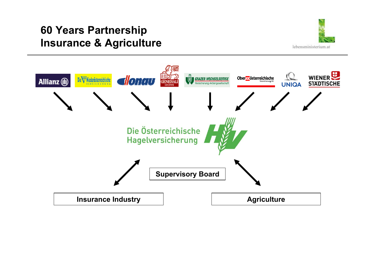## **60 Years Partnership Insurance & Agriculture**



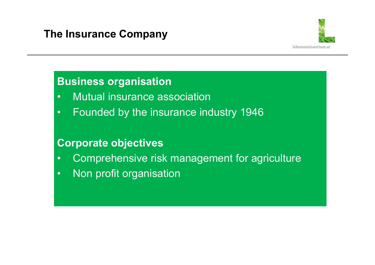

## **Business organisation**

- •Mutual insurance association
- •Founded by the insurance industry 1946

## **Corporate objectives**

- •Comprehensive risk management for agriculture
- •Non profit organisation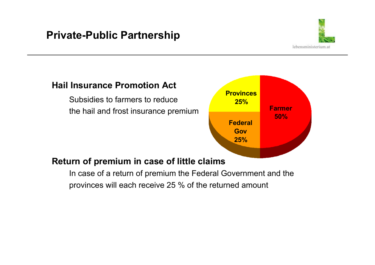## **Private-Public Partnership**



#### **Hail Insurance Promotion Act**

Subsidies to farmers to reduce the hail and frost insurance premium



#### **Return of premium in case of little claims**

In case of a return of premium the Federal Government and the provinces will each receive 25 % of the returned amount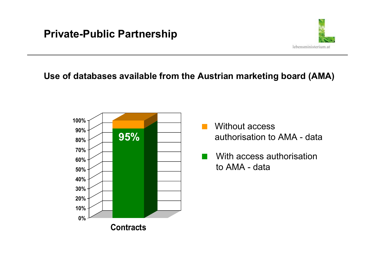#### **Use of databases available from the Austrian marketing board (AMA)**



Without accessauthorisation to AMA - data

lebensministerium.at

With access authorisation to AMA - data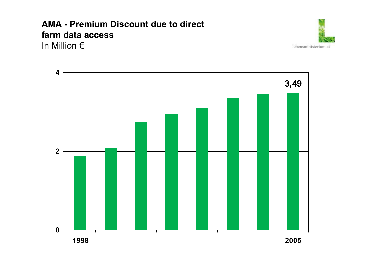#### **AMA - Premium Discount due to direct farm data access** In Million €



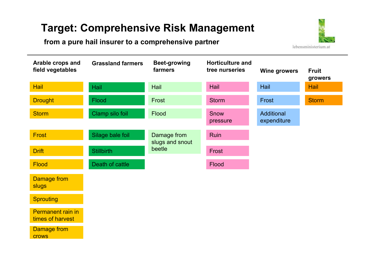## **Target: Comprehensive Risk Management**

#### **from a pure hail insurer to a comprehensive partner**





rows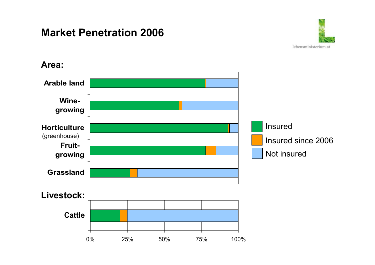### **Market Penetration 2006**



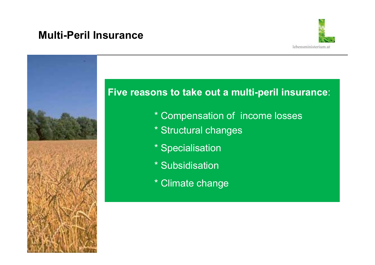### **Multi-Peril Insurance**



## **Five reasons to take out a multi-peril insurance**:

- \* Compensation of income losses
- \* Structural changes
- \* Specialisation
- \* Subsidisation
- \* Climate change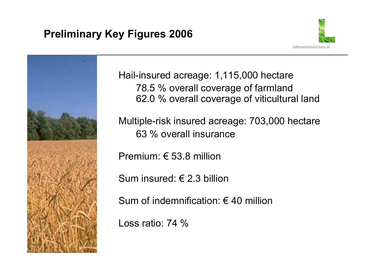## **Preliminary Key Figures 2006**





Hail-insured acreage: 1,115,000 hectare 78.5 % overall coverage of farmland 62.0 % overall coverage of viticultural land

Multiple-risk insured acreage: 703,000 hectare 63 % overall insurance

Premium: € 53.8 million

Sum insured: € 2.3 billion

Sum of indemnification:  $\epsilon$  40 million

Loss ratio: 74 %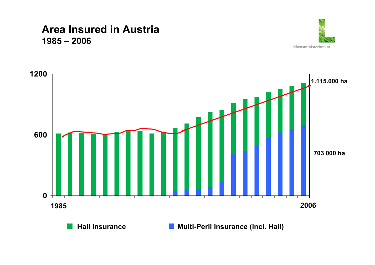#### **Area Insured in Austria 1985 – 2006**







**Hail Insurance ■ Multi-Peril Insurance (incl. Hail)**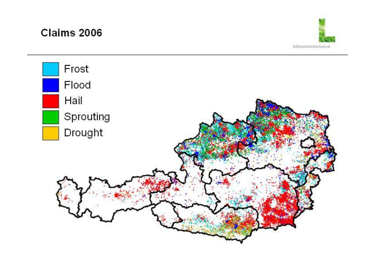Claims 2006



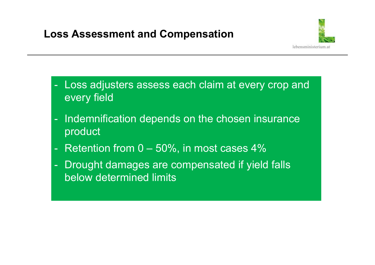## **Loss Assessment and Compensation**



- - Loss adjusters assess each claim at every crop and every field
- - Indemnification depends on the chosen insurance product
- -Retention from 0 – 50%, in most cases 4%
- - Drought damages are compensated if yield falls below determined limits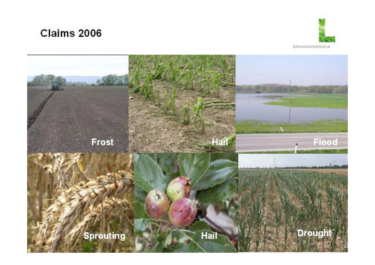